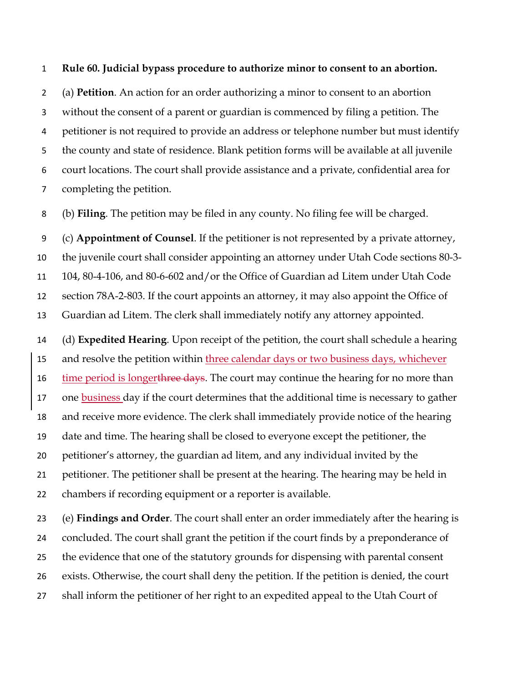## **Rule 60. Judicial bypass procedure to authorize minor to consent to an abortion.**

 (a) **Petition**. An action for an order authorizing a minor to consent to an abortion without the consent of a parent or guardian is commenced by filing a petition. The petitioner is not required to provide an address or telephone number but must identify the county and state of residence. Blank petition forms will be available at all juvenile court locations. The court shall provide assistance and a private, confidential area for completing the petition.

(b) **Filing**. The petition may be filed in any county. No filing fee will be charged.

 (c) **Appointment of Counsel**. If the petitioner is not represented by a private attorney, the juvenile court shall consider appointing an attorney under Utah Code sections 80-3- 104, 80-4-106, and 80-6-602 and/or the Office of Guardian ad Litem under Utah Code section 78A-2-803. If the court appoints an attorney, it may also appoint the Office of Guardian ad Litem. The clerk shall immediately notify any attorney appointed.

 (d) **Expedited Hearing**. Upon receipt of the petition, the court shall schedule a hearing 15 and resolve the petition within three calendar days or two business days, whichever 16 time period is longerthree days. The court may continue the hearing for no more than 17 one business day if the court determines that the additional time is necessary to gather and receive more evidence. The clerk shall immediately provide notice of the hearing date and time. The hearing shall be closed to everyone except the petitioner, the petitioner's attorney, the guardian ad litem, and any individual invited by the petitioner. The petitioner shall be present at the hearing. The hearing may be held in chambers if recording equipment or a reporter is available.

 (e) **Findings and Order**. The court shall enter an order immediately after the hearing is concluded. The court shall grant the petition if the court finds by a preponderance of the evidence that one of the statutory grounds for dispensing with parental consent exists. Otherwise, the court shall deny the petition. If the petition is denied, the court shall inform the petitioner of her right to an expedited appeal to the Utah Court of